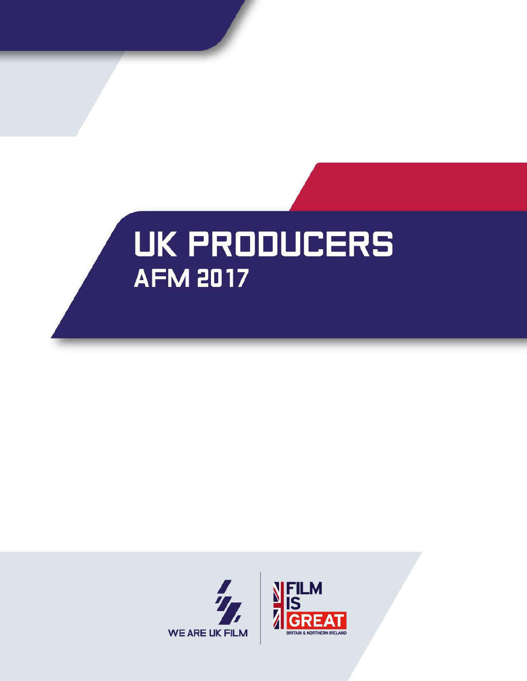

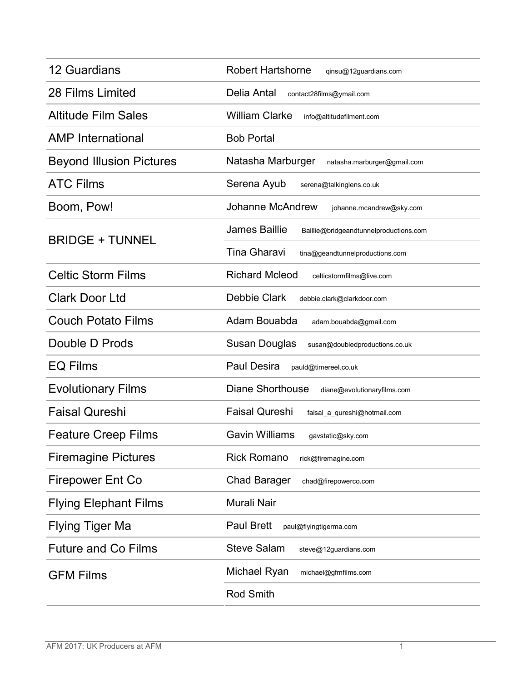| <b>12 Guardians</b>             | <b>Robert Hartshorne</b><br>qinsu@12guardians.com              |
|---------------------------------|----------------------------------------------------------------|
| 28 Films Limited                | Delia Antal<br>contact28films@ymail.com                        |
| <b>Altitude Film Sales</b>      | <b>William Clarke</b><br>info@altitudefilment.com              |
| <b>AMP</b> International        | <b>Bob Portal</b>                                              |
| <b>Beyond Illusion Pictures</b> | Natasha Marburger<br>natasha.marburger@gmail.com               |
| <b>ATC Films</b>                | Serena Ayub<br>serena@talkinglens.co.uk                        |
| Boom, Pow!                      | <b>Johanne McAndrew</b><br>johanne.mcandrew@sky.com            |
| <b>BRIDGE + TUNNEL</b>          | <b>James Baillie</b><br>Baillie@bridgeandtunnelproductions.com |
|                                 | <b>Tina Gharavi</b><br>tina@geandtunnelproductions.com         |
| <b>Celtic Storm Films</b>       | <b>Richard Mcleod</b><br>celticstormfilms@live.com             |
| <b>Clark Door Ltd</b>           | Debbie Clark<br>debbie.clark@clarkdoor.com                     |
| <b>Couch Potato Films</b>       | Adam Bouabda<br>adam.bouabda@gmail.com                         |
| Double D Prods                  | Susan Douglas<br>susan@doubledproductions.co.uk                |
| <b>EQ Films</b>                 | <b>Paul Desira</b><br>pauld@timereel.co.uk                     |
| <b>Evolutionary Films</b>       | <b>Diane Shorthouse</b><br>diane@evolutionaryfilms.com         |
| <b>Faisal Qureshi</b>           | <b>Faisal Qureshi</b><br>faisal_a_qureshi@hotmail.com          |
| <b>Feature Creep Films</b>      | <b>Gavin Williams</b><br>gavstatic@sky.com                     |
| <b>Firemagine Pictures</b>      | <b>Rick Romano</b><br>rick@firemagine.com                      |
| <b>Firepower Ent Co</b>         | <b>Chad Barager</b><br>chad@firepowerco.com                    |
| <b>Flying Elephant Films</b>    | Murali Nair                                                    |
| <b>Flying Tiger Ma</b>          | <b>Paul Brett</b><br>paul@flyingtigerma.com                    |
| <b>Future and Co Films</b>      | <b>Steve Salam</b><br>steve@12guardians.com                    |
| <b>GFM Films</b>                | Michael Ryan<br>michael@gfmfilms.com                           |
|                                 | <b>Rod Smith</b>                                               |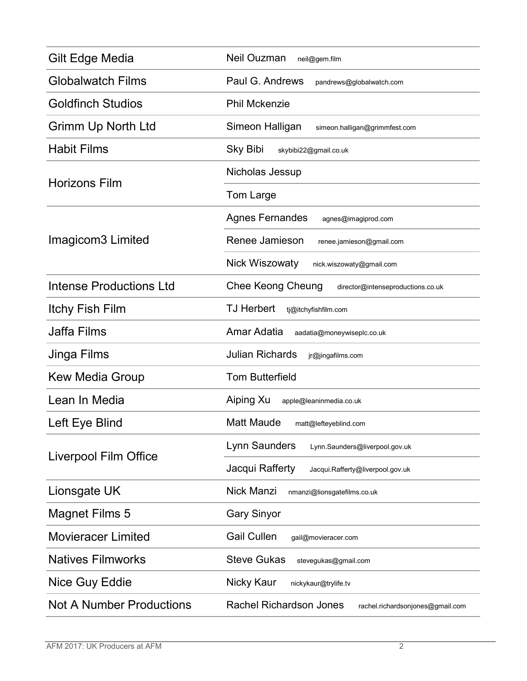| Gilt Edge Media                 | Neil Ouzman<br>neil@gem.film                                       |
|---------------------------------|--------------------------------------------------------------------|
| <b>Globalwatch Films</b>        | Paul G. Andrews<br>pandrews@globalwatch.com                        |
| <b>Goldfinch Studios</b>        | <b>Phil Mckenzie</b>                                               |
| Grimm Up North Ltd              | Simeon Halligan<br>simeon.halligan@grimmfest.com                   |
| <b>Habit Films</b>              | <b>Sky Bibi</b><br>skybibi22@gmail.co.uk                           |
| <b>Horizons Film</b>            | Nicholas Jessup                                                    |
|                                 | Tom Large                                                          |
| Imagicom3 Limited               | <b>Agnes Fernandes</b><br>agnes@imagiprod.com                      |
|                                 | Renee Jamieson<br>renee.jamieson@gmail.com                         |
|                                 | <b>Nick Wiszowaty</b><br>nick.wiszowaty@gmail.com                  |
| <b>Intense Productions Ltd</b>  | Chee Keong Cheung<br>director@intenseproductions.co.uk             |
| <b>Itchy Fish Film</b>          | <b>TJ Herbert</b><br>tj@itchyfishfilm.com                          |
| <b>Jaffa Films</b>              | Amar Adatia<br>aadatia@moneywiseplc.co.uk                          |
| Jinga Films                     | <b>Julian Richards</b><br>jr@jingafilms.com                        |
| <b>Kew Media Group</b>          | <b>Tom Butterfield</b>                                             |
| Lean In Media                   | Aiping Xu<br>apple@leaninmedia.co.uk                               |
| Left Eye Blind                  | <b>Matt Maude</b><br>matt@lefteyeblind.com                         |
| <b>Liverpool Film Office</b>    | Lynn Saunders<br>Lynn.Saunders@liverpool.gov.uk                    |
|                                 | Jacqui Rafferty<br>Jacqui.Rafferty@liverpool.gov.uk                |
| Lionsgate UK                    | Nick Manzi<br>nmanzi@lionsgatefilms.co.uk                          |
| <b>Magnet Films 5</b>           | <b>Gary Sinyor</b>                                                 |
| <b>Movieracer Limited</b>       | <b>Gail Cullen</b><br>gail@movieracer.com                          |
| <b>Natives Filmworks</b>        | <b>Steve Gukas</b><br>stevegukas@gmail.com                         |
| Nice Guy Eddie                  | Nicky Kaur<br>nickykaur@trylife.tv                                 |
| <b>Not A Number Productions</b> | <b>Rachel Richardson Jones</b><br>rachel.richardsonjones@gmail.com |